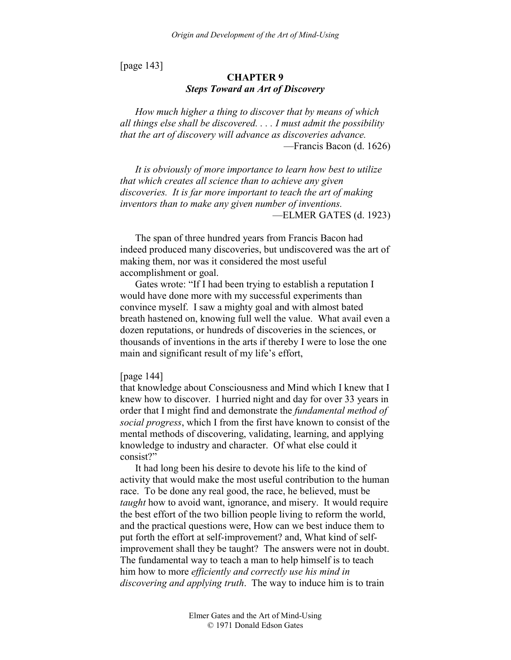[page 143]

# **CHAPTER 9**  *Steps Toward an Art of Discovery*

*How much higher a thing to discover that by means of which all things else shall be discovered. . . . I must admit the possibility that the art of discovery will advance as discoveries advance.*  —Francis Bacon (d. 1626)

*It is obviously of more importance to learn how best to utilize that which creates all science than to achieve any given discoveries. It is far more important to teach the art of making inventors than to make any given number of inventions.*  —ELMER GATES (d. 1923)

The span of three hundred years from Francis Bacon had indeed produced many discoveries, but undiscovered was the art of making them, nor was it considered the most useful accomplishment or goal.

Gates wrote: "If I had been trying to establish a reputation I would have done more with my successful experiments than convince myself. I saw a mighty goal and with almost bated breath hastened on, knowing full well the value. What avail even a dozen reputations, or hundreds of discoveries in the sciences, or thousands of inventions in the arts if thereby I were to lose the one main and significant result of my life's effort,

#### [page 144]

that knowledge about Consciousness and Mind which I knew that I knew how to discover. I hurried night and day for over 33 years in order that I might find and demonstrate the *fundamental method of social progress*, which I from the first have known to consist of the mental methods of discovering, validating, learning, and applying knowledge to industry and character. Of what else could it consist?"

It had long been his desire to devote his life to the kind of activity that would make the most useful contribution to the human race. To be done any real good, the race, he believed, must be *taught* how to avoid want, ignorance, and misery. It would require the best effort of the two billion people living to reform the world, and the practical questions were, How can we best induce them to put forth the effort at self-improvement? and, What kind of selfimprovement shall they be taught? The answers were not in doubt. The fundamental way to teach a man to help himself is to teach him how to more *efficiently and correctly use his mind in discovering and applying truth*. The way to induce him is to train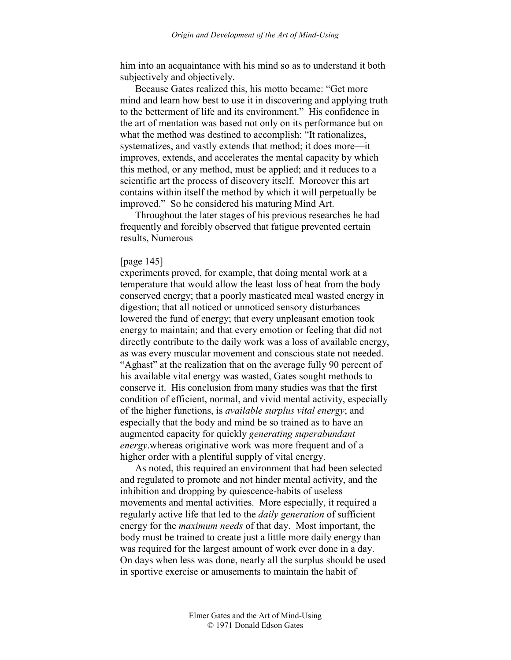him into an acquaintance with his mind so as to understand it both subjectively and objectively.

Because Gates realized this, his motto became: "Get more mind and learn how best to use it in discovering and applying truth to the betterment of life and its environment." His confidence in the art of mentation was based not only on its performance but on what the method was destined to accomplish: "It rationalizes, systematizes, and vastly extends that method; it does more—it improves, extends, and accelerates the mental capacity by which this method, or any method, must be applied; and it reduces to a scientific art the process of discovery itself. Moreover this art contains within itself the method by which it will perpetually be improved." So he considered his maturing Mind Art.

Throughout the later stages of his previous researches he had frequently and forcibly observed that fatigue prevented certain results, Numerous

#### [page 145]

experiments proved, for example, that doing mental work at a temperature that would allow the least loss of heat from the body conserved energy; that a poorly masticated meal wasted energy in digestion; that all noticed or unnoticed sensory disturbances lowered the fund of energy; that every unpleasant emotion took energy to maintain; and that every emotion or feeling that did not directly contribute to the daily work was a loss of available energy, as was every muscular movement and conscious state not needed. "Aghast" at the realization that on the average fully 90 percent of his available vital energy was wasted, Gates sought methods to conserve it. His conclusion from many studies was that the first condition of efficient, normal, and vivid mental activity, especially of the higher functions, is *available surplus vital energy*; and especially that the body and mind be so trained as to have an augmented capacity for quickly *generating superabundant energy*.whereas originative work was more frequent and of a higher order with a plentiful supply of vital energy.

As noted, this required an environment that had been selected and regulated to promote and not hinder mental activity, and the inhibition and dropping by quiescence-habits of useless movements and mental activities. More especially, it required a regularly active life that led to the *daily generation* of sufficient energy for the *maximum needs* of that day. Most important, the body must be trained to create just a little more daily energy than was required for the largest amount of work ever done in a day. On days when less was done, nearly all the surplus should be used in sportive exercise or amusements to maintain the habit of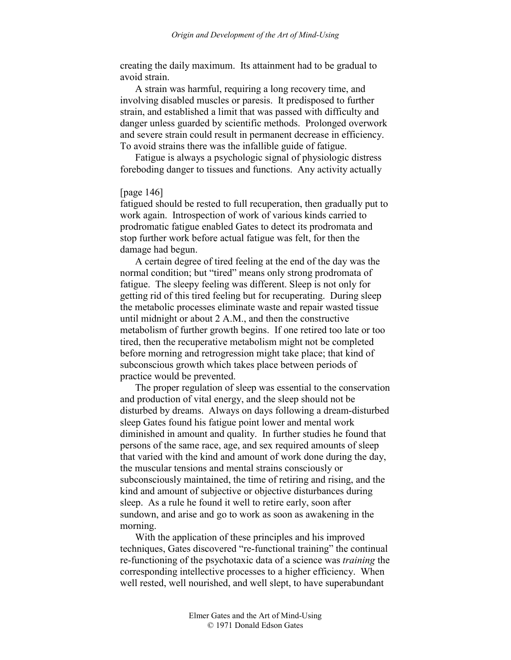creating the daily maximum. Its attainment had to be gradual to avoid strain.

A strain was harmful, requiring a long recovery time, and involving disabled muscles or paresis. It predisposed to further strain, and established a limit that was passed with difficulty and danger unless guarded by scientific methods. Prolonged overwork and severe strain could result in permanent decrease in efficiency. To avoid strains there was the infallible guide of fatigue.

Fatigue is always a psychologic signal of physiologic distress foreboding danger to tissues and functions. Any activity actually

## [page 146]

fatigued should be rested to full recuperation, then gradually put to work again. Introspection of work of various kinds carried to prodromatic fatigue enabled Gates to detect its prodromata and stop further work before actual fatigue was felt, for then the damage had begun.

A certain degree of tired feeling at the end of the day was the normal condition; but "tired" means only strong prodromata of fatigue. The sleepy feeling was different. Sleep is not only for getting rid of this tired feeling but for recuperating. During sleep the metabolic processes eliminate waste and repair wasted tissue until midnight or about 2 A.M., and then the constructive metabolism of further growth begins. If one retired too late or too tired, then the recuperative metabolism might not be completed before morning and retrogression might take place; that kind of subconscious growth which takes place between periods of practice would be prevented.

The proper regulation of sleep was essential to the conservation and production of vital energy, and the sleep should not be disturbed by dreams. Always on days following a dream-disturbed sleep Gates found his fatigue point lower and mental work diminished in amount and quality. In further studies he found that persons of the same race, age, and sex required amounts of sleep that varied with the kind and amount of work done during the day, the muscular tensions and mental strains consciously or subconsciously maintained, the time of retiring and rising, and the kind and amount of subjective or objective disturbances during sleep. As a rule he found it well to retire early, soon after sundown, and arise and go to work as soon as awakening in the morning.

With the application of these principles and his improved techniques, Gates discovered "re-functional training" the continual re-functioning of the psychotaxic data of a science was *training* the corresponding intellective processes to a higher efficiency. When well rested, well nourished, and well slept, to have superabundant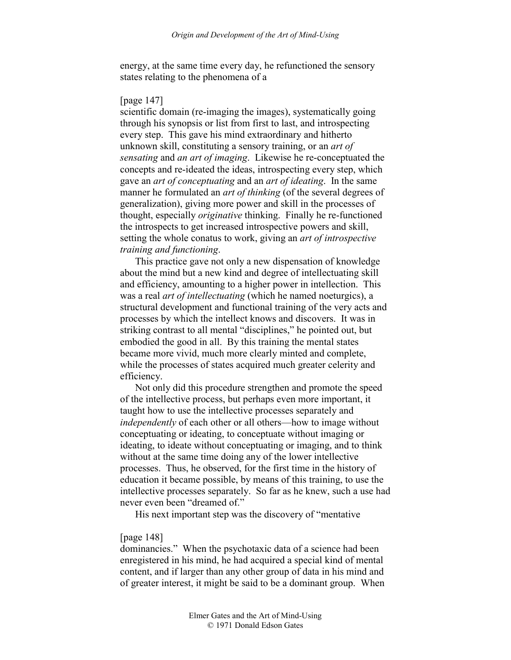energy, at the same time every day, he refunctioned the sensory states relating to the phenomena of a

### [page 147]

scientific domain (re-imaging the images), systematically going through his synopsis or list from first to last, and introspecting every step. This gave his mind extraordinary and hitherto unknown skill, constituting a sensory training, or an *art of sensating* and *an art of imaging*. Likewise he re-conceptuated the concepts and re-ideated the ideas, introspecting every step, which gave an *art of conceptuating* and an *art of ideating*. In the same manner he formulated an *art of thinking* (of the several degrees of generalization), giving more power and skill in the processes of thought, especially *originative* thinking. Finally he re-functioned the introspects to get increased introspective powers and skill, setting the whole conatus to work, giving an *art of introspective training and functioning*.

This practice gave not only a new dispensation of knowledge about the mind but a new kind and degree of intellectuating skill and efficiency, amounting to a higher power in intellection. This was a real *art of intellectuating* (which he named noeturgics), a structural development and functional training of the very acts and processes by which the intellect knows and discovers. It was in striking contrast to all mental "disciplines," he pointed out, but embodied the good in all. By this training the mental states became more vivid, much more clearly minted and complete, while the processes of states acquired much greater celerity and efficiency.

Not only did this procedure strengthen and promote the speed of the intellective process, but perhaps even more important, it taught how to use the intellective processes separately and *independently* of each other or all others—how to image without conceptuating or ideating, to conceptuate without imaging or ideating, to ideate without conceptuating or imaging, and to think without at the same time doing any of the lower intellective processes. Thus, he observed, for the first time in the history of education it became possible, by means of this training, to use the intellective processes separately. So far as he knew, such a use had never even been "dreamed of."

His next important step was the discovery of "mentative

## [page 148]

dominancies." When the psychotaxic data of a science had been enregistered in his mind, he had acquired a special kind of mental content, and if larger than any other group of data in his mind and of greater interest, it might be said to be a dominant group. When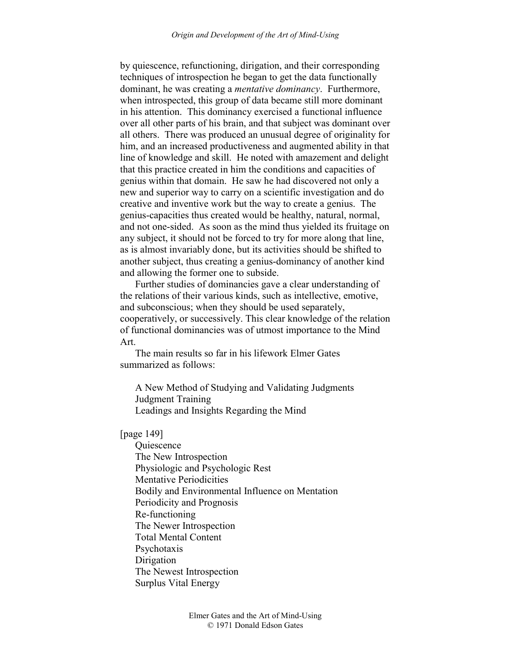by quiescence, refunctioning, dirigation, and their corresponding techniques of introspection he began to get the data functionally dominant, he was creating a *mentative dominancy*. Furthermore, when introspected, this group of data became still more dominant in his attention. This dominancy exercised a functional influence over all other parts of his brain, and that subject was dominant over all others. There was produced an unusual degree of originality for him, and an increased productiveness and augmented ability in that line of knowledge and skill. He noted with amazement and delight that this practice created in him the conditions and capacities of genius within that domain. He saw he had discovered not only a new and superior way to carry on a scientific investigation and do creative and inventive work but the way to create a genius. The genius-capacities thus created would be healthy, natural, normal, and not one-sided. As soon as the mind thus yielded its fruitage on any subject, it should not be forced to try for more along that line, as is almost invariably done, but its activities should be shifted to another subject, thus creating a genius-dominancy of another kind and allowing the former one to subside.

Further studies of dominancies gave a clear understanding of the relations of their various kinds, such as intellective, emotive, and subconscious; when they should be used separately, cooperatively, or successively. This clear knowledge of the relation of functional dominancies was of utmost importance to the Mind Art.

The main results so far in his lifework Elmer Gates summarized as follows:

A New Method of Studying and Validating Judgments Judgment Training Leadings and Insights Regarding the Mind

[page 149]

**Ouiescence** The New Introspection Physiologic and Psychologic Rest Mentative Periodicities Bodily and Environmental Influence on Mentation Periodicity and Prognosis Re-functioning The Newer Introspection Total Mental Content Psychotaxis **Dirigation** The Newest Introspection Surplus Vital Energy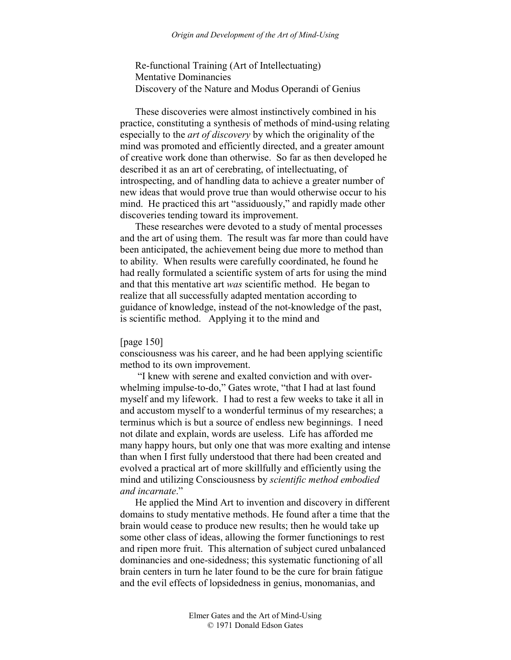Re-functional Training (Art of Intellectuating) Mentative Dominancies Discovery of the Nature and Modus Operandi of Genius

These discoveries were almost instinctively combined in his practice, constituting a synthesis of methods of mind-using relating especially to the *art of discovery* by which the originality of the mind was promoted and efficiently directed, and a greater amount of creative work done than otherwise. So far as then developed he described it as an art of cerebrating, of intellectuating, of introspecting, and of handling data to achieve a greater number of new ideas that would prove true than would otherwise occur to his mind. He practiced this art "assiduously," and rapidly made other discoveries tending toward its improvement.

These researches were devoted to a study of mental processes and the art of using them. The result was far more than could have been anticipated, the achievement being due more to method than to ability. When results were carefully coordinated, he found he had really formulated a scientific system of arts for using the mind and that this mentative art *was* scientific method. He began to realize that all successfully adapted mentation according to guidance of knowledge, instead of the not-knowledge of the past, is scientific method. Applying it to the mind and

### [page 150]

consciousness was his career, and he had been applying scientific method to its own improvement.

 "I knew with serene and exalted conviction and with overwhelming impulse-to-do," Gates wrote, "that I had at last found myself and my lifework. I had to rest a few weeks to take it all in and accustom myself to a wonderful terminus of my researches; a terminus which is but a source of endless new beginnings. I need not dilate and explain, words are useless. Life has afforded me many happy hours, but only one that was more exalting and intense than when I first fully understood that there had been created and evolved a practical art of more skillfully and efficiently using the mind and utilizing Consciousness by *scientific method embodied and incarnate*."

He applied the Mind Art to invention and discovery in different domains to study mentative methods. He found after a time that the brain would cease to produce new results; then he would take up some other class of ideas, allowing the former functionings to rest and ripen more fruit. This alternation of subject cured unbalanced dominancies and one-sidedness; this systematic functioning of all brain centers in turn he later found to be the cure for brain fatigue and the evil effects of lopsidedness in genius, monomanias, and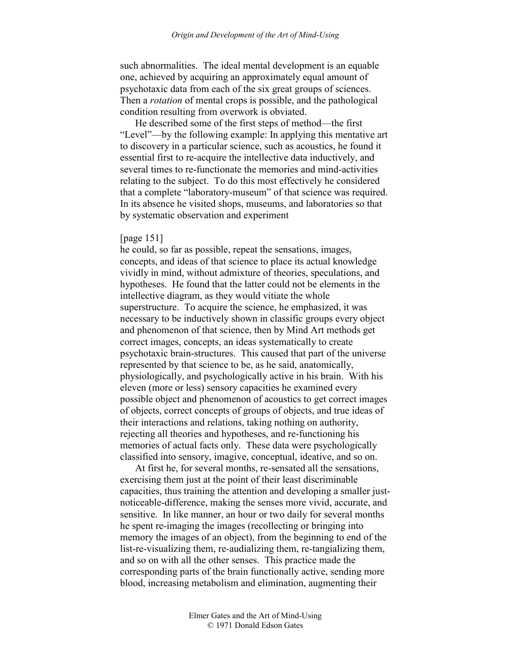such abnormalities. The ideal mental development is an equable one, achieved by acquiring an approximately equal amount of psychotaxic data from each of the six great groups of sciences. Then a *rotation* of mental crops is possible, and the pathological condition resulting from overwork is obviated.

He described some of the first steps of method—the first "Level"—by the following example: In applying this mentative art to discovery in a particular science, such as acoustics, he found it essential first to re-acquire the intellective data inductively, and several times to re-functionate the memories and mind-activities relating to the subject. To do this most effectively he considered that a complete "laboratory-museum" of that science was required. In its absence he visited shops, museums, and laboratories so that by systematic observation and experiment

## [page 151]

he could, so far as possible, repeat the sensations, images, concepts, and ideas of that science to place its actual knowledge vividly in mind, without admixture of theories, speculations, and hypotheses. He found that the latter could not be elements in the intellective diagram, as they would vitiate the whole superstructure. To acquire the science, he emphasized, it was necessary to be inductively shown in classific groups every object and phenomenon of that science, then by Mind Art methods get correct images, concepts, an ideas systematically to create psychotaxic brain-structures. This caused that part of the universe represented by that science to be, as he said, anatomically, physiologically, and psychologically active in his brain. With his eleven (more or less) sensory capacities he examined every possible object and phenomenon of acoustics to get correct images of objects, correct concepts of groups of objects, and true ideas of their interactions and relations, taking nothing on authority, rejecting all theories and hypotheses, and re-functioning his memories of actual facts only. These data were psychologically classified into sensory, imagive, conceptual, ideative, and so on.

At first he, for several months, re-sensated all the sensations, exercising them just at the point of their least discriminable capacities, thus training the attention and developing a smaller justnoticeable-difference, making the senses more vivid, accurate, and sensitive. In like manner, an hour or two daily for several months he spent re-imaging the images (recollecting or bringing into memory the images of an object), from the beginning to end of the list-re-visualizing them, re-audializing them, re-tangializing them, and so on with all the other senses. This practice made the corresponding parts of the brain functionally active, sending more blood, increasing metabolism and elimination, augmenting their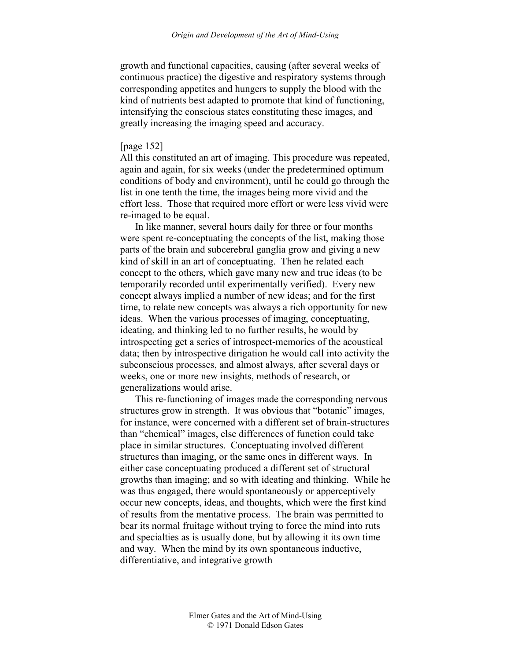growth and functional capacities, causing (after several weeks of continuous practice) the digestive and respiratory systems through corresponding appetites and hungers to supply the blood with the kind of nutrients best adapted to promote that kind of functioning, intensifying the conscious states constituting these images, and greatly increasing the imaging speed and accuracy.

# [page 152]

All this constituted an art of imaging. This procedure was repeated, again and again, for six weeks (under the predetermined optimum conditions of body and environment), until he could go through the list in one tenth the time, the images being more vivid and the effort less. Those that required more effort or were less vivid were re-imaged to be equal.

In like manner, several hours daily for three or four months were spent re-conceptuating the concepts of the list, making those parts of the brain and subcerebral ganglia grow and giving a new kind of skill in an art of conceptuating. Then he related each concept to the others, which gave many new and true ideas (to be temporarily recorded until experimentally verified). Every new concept always implied a number of new ideas; and for the first time, to relate new concepts was always a rich opportunity for new ideas. When the various processes of imaging, conceptuating, ideating, and thinking led to no further results, he would by introspecting get a series of introspect-memories of the acoustical data; then by introspective dirigation he would call into activity the subconscious processes, and almost always, after several days or weeks, one or more new insights, methods of research, or generalizations would arise.

This re-functioning of images made the corresponding nervous structures grow in strength. It was obvious that "botanic" images, for instance, were concerned with a different set of brain-structures than "chemical" images, else differences of function could take place in similar structures. Conceptuating involved different structures than imaging, or the same ones in different ways. In either case conceptuating produced a different set of structural growths than imaging; and so with ideating and thinking. While he was thus engaged, there would spontaneously or apperceptively occur new concepts, ideas, and thoughts, which were the first kind of results from the mentative process. The brain was permitted to bear its normal fruitage without trying to force the mind into ruts and specialties as is usually done, but by allowing it its own time and way. When the mind by its own spontaneous inductive, differentiative, and integrative growth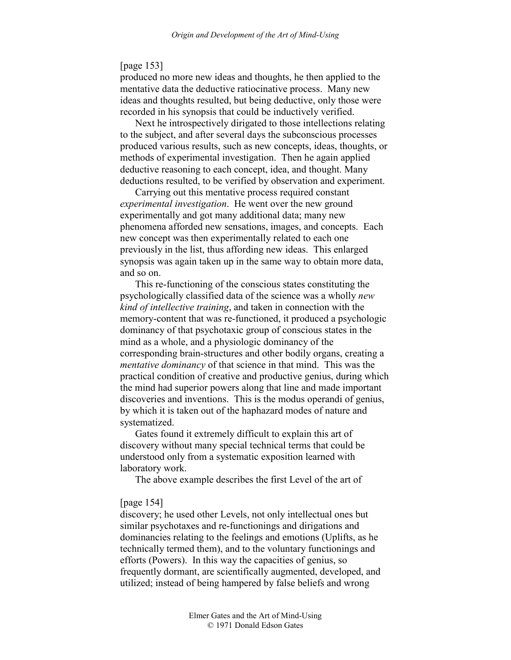## [page 153]

produced no more new ideas and thoughts, he then applied to the mentative data the deductive ratiocinative process. Many new ideas and thoughts resulted, but being deductive, only those were recorded in his synopsis that could be inductively verified.

Next he introspectively dirigated to those intellections relating to the subject, and after several days the subconscious processes produced various results, such as new concepts, ideas, thoughts, or methods of experimental investigation. Then he again applied deductive reasoning to each concept, idea, and thought. Many deductions resulted, to be verified by observation and experiment.

Carrying out this mentative process required constant *experimental investigation*. He went over the new ground experimentally and got many additional data; many new phenomena afforded new sensations, images, and concepts. Each new concept was then experimentally related to each one previously in the list, thus affording new ideas. This enlarged synopsis was again taken up in the same way to obtain more data, and so on.

This re-functioning of the conscious states constituting the psychologically classified data of the science was a wholly *new kind of intellective training*, and taken in connection with the memory-content that was re-functioned, it produced a psychologic dominancy of that psychotaxic group of conscious states in the mind as a whole, and a physiologic dominancy of the corresponding brain-structures and other bodily organs, creating a *mentative dominancy* of that science in that mind. This was the practical condition of creative and productive genius, during which the mind had superior powers along that line and made important discoveries and inventions. This is the modus operandi of genius, by which it is taken out of the haphazard modes of nature and systematized.

Gates found it extremely difficult to explain this art of discovery without many special technical terms that could be understood only from a systematic exposition learned with laboratory work.

The above example describes the first Level of the art of

## [page 154]

discovery; he used other Levels, not only intellectual ones but similar psychotaxes and re-functionings and dirigations and dominancies relating to the feelings and emotions (Uplifts, as he technically termed them), and to the voluntary functionings and efforts (Powers). In this way the capacities of genius, so frequently dormant, are scientifically augmented, developed, and utilized; instead of being hampered by false beliefs and wrong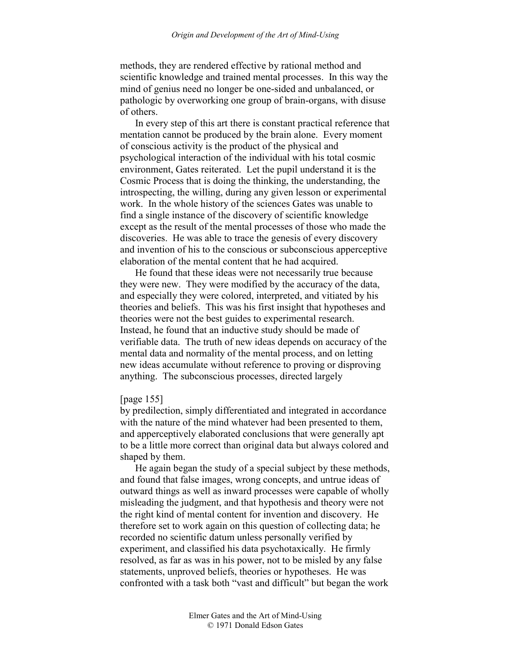methods, they are rendered effective by rational method and scientific knowledge and trained mental processes. In this way the mind of genius need no longer be one-sided and unbalanced, or pathologic by overworking one group of brain-organs, with disuse of others.

In every step of this art there is constant practical reference that mentation cannot be produced by the brain alone. Every moment of conscious activity is the product of the physical and psychological interaction of the individual with his total cosmic environment, Gates reiterated. Let the pupil understand it is the Cosmic Process that is doing the thinking, the understanding, the introspecting, the willing, during any given lesson or experimental work. In the whole history of the sciences Gates was unable to find a single instance of the discovery of scientific knowledge except as the result of the mental processes of those who made the discoveries. He was able to trace the genesis of every discovery and invention of his to the conscious or subconscious apperceptive elaboration of the mental content that he had acquired.

He found that these ideas were not necessarily true because they were new. They were modified by the accuracy of the data, and especially they were colored, interpreted, and vitiated by his theories and beliefs. This was his first insight that hypotheses and theories were not the best guides to experimental research. Instead, he found that an inductive study should be made of verifiable data. The truth of new ideas depends on accuracy of the mental data and normality of the mental process, and on letting new ideas accumulate without reference to proving or disproving anything. The subconscious processes, directed largely

# [page 155]

by predilection, simply differentiated and integrated in accordance with the nature of the mind whatever had been presented to them, and apperceptively elaborated conclusions that were generally apt to be a little more correct than original data but always colored and shaped by them.

He again began the study of a special subject by these methods, and found that false images, wrong concepts, and untrue ideas of outward things as well as inward processes were capable of wholly misleading the judgment, and that hypothesis and theory were not the right kind of mental content for invention and discovery. He therefore set to work again on this question of collecting data; he recorded no scientific datum unless personally verified by experiment, and classified his data psychotaxically. He firmly resolved, as far as was in his power, not to be misled by any false statements, unproved beliefs, theories or hypotheses. He was confronted with a task both "vast and difficult" but began the work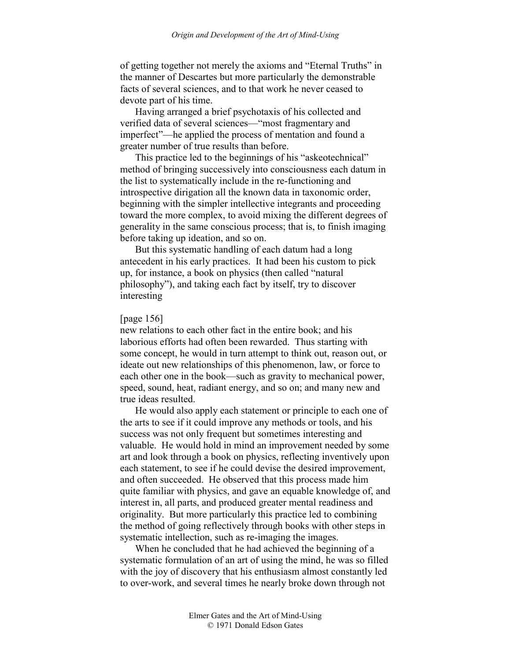of getting together not merely the axioms and "Eternal Truths" in the manner of Descartes but more particularly the demonstrable facts of several sciences, and to that work he never ceased to devote part of his time.

Having arranged a brief psychotaxis of his collected and verified data of several sciences—"most fragmentary and imperfect"—he applied the process of mentation and found a greater number of true results than before.

This practice led to the beginnings of his "askeotechnical" method of bringing successively into consciousness each datum in the list to systematically include in the re-functioning and introspective dirigation all the known data in taxonomic order, beginning with the simpler intellective integrants and proceeding toward the more complex, to avoid mixing the different degrees of generality in the same conscious process; that is, to finish imaging before taking up ideation, and so on.

But this systematic handling of each datum had a long antecedent in his early practices. It had been his custom to pick up, for instance, a book on physics (then called "natural philosophy"), and taking each fact by itself, try to discover interesting

#### [page 156]

new relations to each other fact in the entire book; and his laborious efforts had often been rewarded. Thus starting with some concept, he would in turn attempt to think out, reason out, or ideate out new relationships of this phenomenon, law, or force to each other one in the book—such as gravity to mechanical power, speed, sound, heat, radiant energy, and so on; and many new and true ideas resulted.

He would also apply each statement or principle to each one of the arts to see if it could improve any methods or tools, and his success was not only frequent but sometimes interesting and valuable. He would hold in mind an improvement needed by some art and look through a book on physics, reflecting inventively upon each statement, to see if he could devise the desired improvement, and often succeeded. He observed that this process made him quite familiar with physics, and gave an equable knowledge of, and interest in, all parts, and produced greater mental readiness and originality. But more particularly this practice led to combining the method of going reflectively through books with other steps in systematic intellection, such as re-imaging the images.

When he concluded that he had achieved the beginning of a systematic formulation of an art of using the mind, he was so filled with the joy of discovery that his enthusiasm almost constantly led to over-work, and several times he nearly broke down through not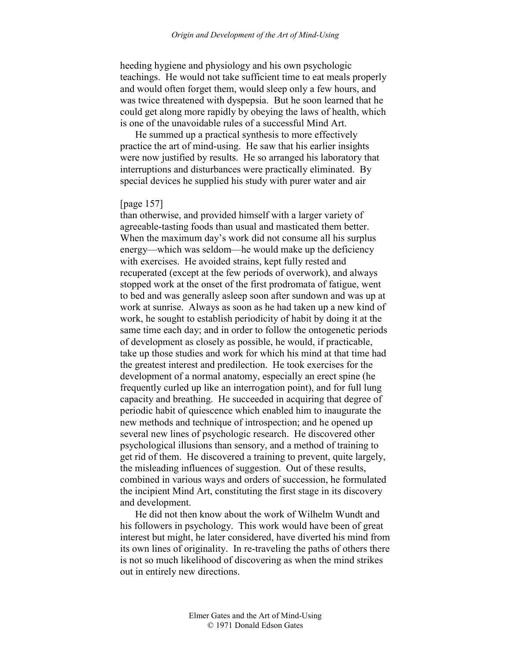heeding hygiene and physiology and his own psychologic teachings. He would not take sufficient time to eat meals properly and would often forget them, would sleep only a few hours, and was twice threatened with dyspepsia. But he soon learned that he could get along more rapidly by obeying the laws of health, which is one of the unavoidable rules of a successful Mind Art.

He summed up a practical synthesis to more effectively practice the art of mind-using. He saw that his earlier insights were now justified by results. He so arranged his laboratory that interruptions and disturbances were practically eliminated. By special devices he supplied his study with purer water and air

# [page 157]

than otherwise, and provided himself with a larger variety of agreeable-tasting foods than usual and masticated them better. When the maximum day's work did not consume all his surplus energy—which was seldom—he would make up the deficiency with exercises. He avoided strains, kept fully rested and recuperated (except at the few periods of overwork), and always stopped work at the onset of the first prodromata of fatigue, went to bed and was generally asleep soon after sundown and was up at work at sunrise. Always as soon as he had taken up a new kind of work, he sought to establish periodicity of habit by doing it at the same time each day; and in order to follow the ontogenetic periods of development as closely as possible, he would, if practicable, take up those studies and work for which his mind at that time had the greatest interest and predilection. He took exercises for the development of a normal anatomy, especially an erect spine (he frequently curled up like an interrogation point), and for full lung capacity and breathing. He succeeded in acquiring that degree of periodic habit of quiescence which enabled him to inaugurate the new methods and technique of introspection; and he opened up several new lines of psychologic research. He discovered other psychological illusions than sensory, and a method of training to get rid of them. He discovered a training to prevent, quite largely, the misleading influences of suggestion. Out of these results, combined in various ways and orders of succession, he formulated the incipient Mind Art, constituting the first stage in its discovery and development.

He did not then know about the work of Wilhelm Wundt and his followers in psychology. This work would have been of great interest but might, he later considered, have diverted his mind from its own lines of originality. In re-traveling the paths of others there is not so much likelihood of discovering as when the mind strikes out in entirely new directions.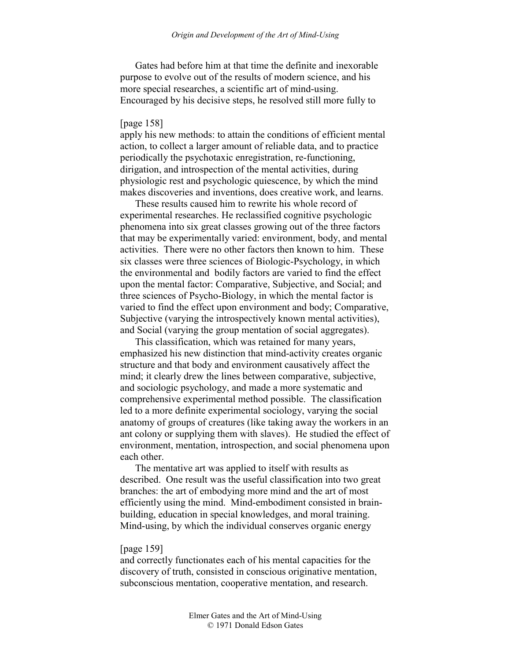Gates had before him at that time the definite and inexorable purpose to evolve out of the results of modern science, and his more special researches, a scientific art of mind-using. Encouraged by his decisive steps, he resolved still more fully to

### [page 158]

apply his new methods: to attain the conditions of efficient mental action, to collect a larger amount of reliable data, and to practice periodically the psychotaxic enregistration, re-functioning, dirigation, and introspection of the mental activities, during physiologic rest and psychologic quiescence, by which the mind makes discoveries and inventions, does creative work, and learns.

These results caused him to rewrite his whole record of experimental researches. He reclassified cognitive psychologic phenomena into six great classes growing out of the three factors that may be experimentally varied: environment, body, and mental activities. There were no other factors then known to him. These six classes were three sciences of Biologic-Psychology, in which the environmental and bodily factors are varied to find the effect upon the mental factor: Comparative, Subjective, and Social; and three sciences of Psycho-Biology, in which the mental factor is varied to find the effect upon environment and body; Comparative, Subjective (varying the introspectively known mental activities), and Social (varying the group mentation of social aggregates).

This classification, which was retained for many years, emphasized his new distinction that mind-activity creates organic structure and that body and environment causatively affect the mind; it clearly drew the lines between comparative, subjective, and sociologic psychology, and made a more systematic and comprehensive experimental method possible. The classification led to a more definite experimental sociology, varying the social anatomy of groups of creatures (like taking away the workers in an ant colony or supplying them with slaves). He studied the effect of environment, mentation, introspection, and social phenomena upon each other.

The mentative art was applied to itself with results as described. One result was the useful classification into two great branches: the art of embodying more mind and the art of most efficiently using the mind. Mind-embodiment consisted in brainbuilding, education in special knowledges, and moral training. Mind-using, by which the individual conserves organic energy

#### [page 159]

and correctly functionates each of his mental capacities for the discovery of truth, consisted in conscious originative mentation, subconscious mentation, cooperative mentation, and research.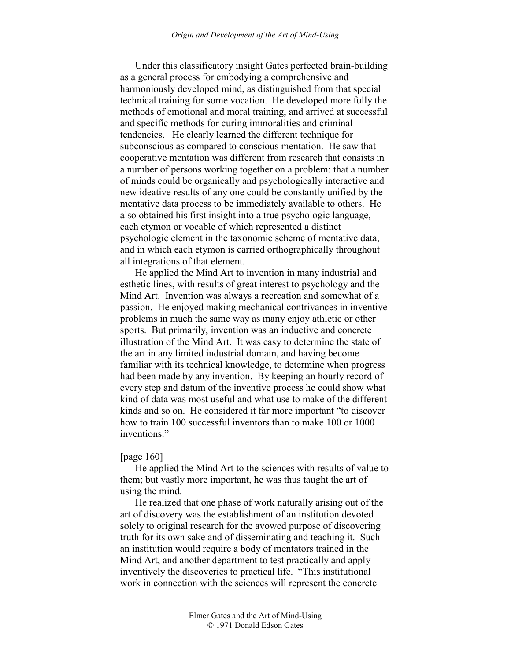Under this classificatory insight Gates perfected brain-building as a general process for embodying a comprehensive and harmoniously developed mind, as distinguished from that special technical training for some vocation. He developed more fully the methods of emotional and moral training, and arrived at successful and specific methods for curing immoralities and criminal tendencies. He clearly learned the different technique for subconscious as compared to conscious mentation. He saw that cooperative mentation was different from research that consists in a number of persons working together on a problem: that a number of minds could be organically and psychologically interactive and new ideative results of any one could be constantly unified by the mentative data process to be immediately available to others. He also obtained his first insight into a true psychologic language, each etymon or vocable of which represented a distinct psychologic element in the taxonomic scheme of mentative data, and in which each etymon is carried orthographically throughout all integrations of that element.

He applied the Mind Art to invention in many industrial and esthetic lines, with results of great interest to psychology and the Mind Art. Invention was always a recreation and somewhat of a passion. He enjoyed making mechanical contrivances in inventive problems in much the same way as many enjoy athletic or other sports. But primarily, invention was an inductive and concrete illustration of the Mind Art. It was easy to determine the state of the art in any limited industrial domain, and having become familiar with its technical knowledge, to determine when progress had been made by any invention. By keeping an hourly record of every step and datum of the inventive process he could show what kind of data was most useful and what use to make of the different kinds and so on. He considered it far more important "to discover how to train 100 successful inventors than to make 100 or 1000 inventions."

#### [page 160]

He applied the Mind Art to the sciences with results of value to them; but vastly more important, he was thus taught the art of using the mind.

He realized that one phase of work naturally arising out of the art of discovery was the establishment of an institution devoted solely to original research for the avowed purpose of discovering truth for its own sake and of disseminating and teaching it. Such an institution would require a body of mentators trained in the Mind Art, and another department to test practically and apply inventively the discoveries to practical life. "This institutional work in connection with the sciences will represent the concrete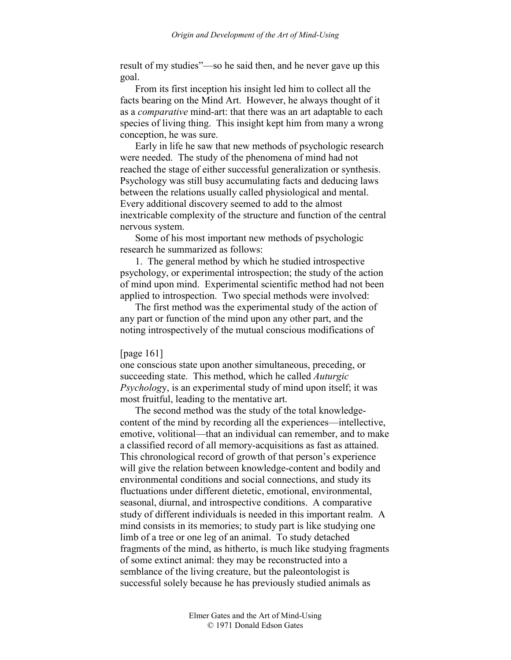result of my studies"—so he said then, and he never gave up this goal.

From its first inception his insight led him to collect all the facts bearing on the Mind Art. However, he always thought of it as a *comparative* mind-art: that there was an art adaptable to each species of living thing. This insight kept him from many a wrong conception, he was sure.

Early in life he saw that new methods of psychologic research were needed. The study of the phenomena of mind had not reached the stage of either successful generalization or synthesis. Psychology was still busy accumulating facts and deducing laws between the relations usually called physiological and mental. Every additional discovery seemed to add to the almost inextricable complexity of the structure and function of the central nervous system.

Some of his most important new methods of psychologic research he summarized as follows:

1. The general method by which he studied introspective psychology, or experimental introspection; the study of the action of mind upon mind. Experimental scientific method had not been applied to introspection. Two special methods were involved:

The first method was the experimental study of the action of any part or function of the mind upon any other part, and the noting introspectively of the mutual conscious modifications of

### [page 161]

one conscious state upon another simultaneous, preceding, or succeeding state. This method, which he called *Auturgic Psycholog*y, is an experimental study of mind upon itself; it was most fruitful, leading to the mentative art.

The second method was the study of the total knowledgecontent of the mind by recording all the experiences—intellective, emotive, volitional—that an individual can remember, and to make a classified record of all memory-acquisitions as fast as attained. This chronological record of growth of that person's experience will give the relation between knowledge-content and bodily and environmental conditions and social connections, and study its fluctuations under different dietetic, emotional, environmental, seasonal, diurnal, and introspective conditions. A comparative study of different individuals is needed in this important realm. A mind consists in its memories; to study part is like studying one limb of a tree or one leg of an animal. To study detached fragments of the mind, as hitherto, is much like studying fragments of some extinct animal: they may be reconstructed into a semblance of the living creature, but the paleontologist is successful solely because he has previously studied animals as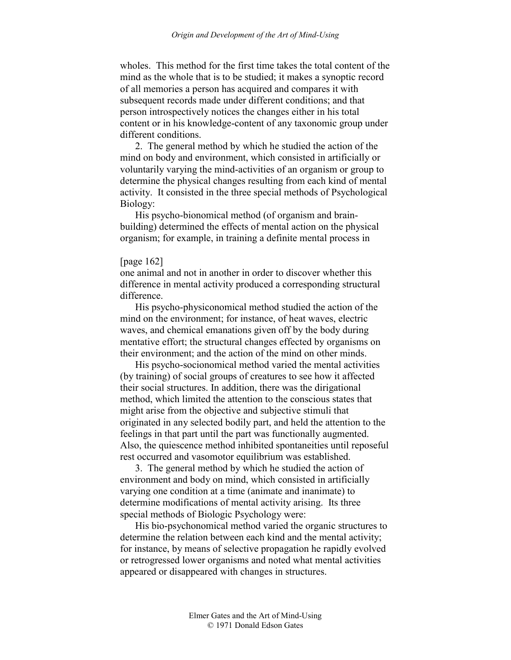wholes. This method for the first time takes the total content of the mind as the whole that is to be studied; it makes a synoptic record of all memories a person has acquired and compares it with subsequent records made under different conditions; and that person introspectively notices the changes either in his total content or in his knowledge-content of any taxonomic group under different conditions.

2. The general method by which he studied the action of the mind on body and environment, which consisted in artificially or voluntarily varying the mind-activities of an organism or group to determine the physical changes resulting from each kind of mental activity. It consisted in the three special methods of Psychological Biology:

His psycho-bionomical method (of organism and brainbuilding) determined the effects of mental action on the physical organism; for example, in training a definite mental process in

### [page 162]

one animal and not in another in order to discover whether this difference in mental activity produced a corresponding structural difference.

His psycho-physiconomical method studied the action of the mind on the environment; for instance, of heat waves, electric waves, and chemical emanations given off by the body during mentative effort; the structural changes effected by organisms on their environment; and the action of the mind on other minds.

His psycho-socionomical method varied the mental activities (by training) of social groups of creatures to see how it affected their social structures. In addition, there was the dirigational method, which limited the attention to the conscious states that might arise from the objective and subjective stimuli that originated in any selected bodily part, and held the attention to the feelings in that part until the part was functionally augmented. Also, the quiescence method inhibited spontaneities until reposeful rest occurred and vasomotor equilibrium was established.

3. The general method by which he studied the action of environment and body on mind, which consisted in artificially varying one condition at a time (animate and inanimate) to determine modifications of mental activity arising. Its three special methods of Biologic Psychology were:

His bio-psychonomical method varied the organic structures to determine the relation between each kind and the mental activity; for instance, by means of selective propagation he rapidly evolved or retrogressed lower organisms and noted what mental activities appeared or disappeared with changes in structures.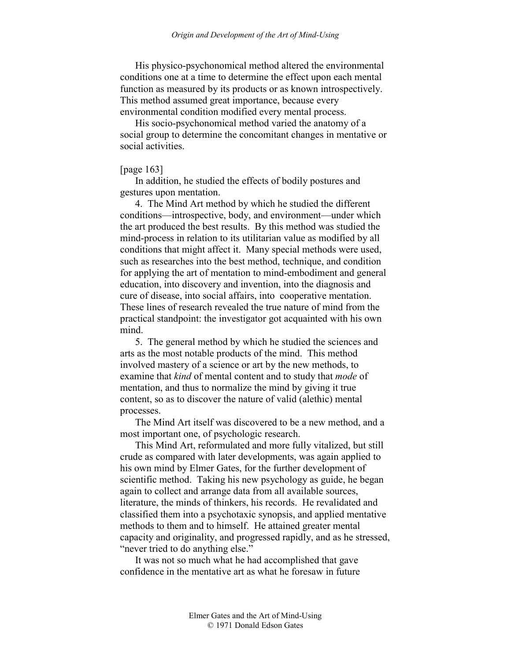His physico-psychonomical method altered the environmental conditions one at a time to determine the effect upon each mental function as measured by its products or as known introspectively. This method assumed great importance, because every environmental condition modified every mental process.

His socio-psychonomical method varied the anatomy of a social group to determine the concomitant changes in mentative or social activities.

#### [page 163]

In addition, he studied the effects of bodily postures and gestures upon mentation.

4. The Mind Art method by which he studied the different conditions—introspective, body, and environment—under which the art produced the best results. By this method was studied the mind-process in relation to its utilitarian value as modified by all conditions that might affect it. Many special methods were used, such as researches into the best method, technique, and condition for applying the art of mentation to mind-embodiment and general education, into discovery and invention, into the diagnosis and cure of disease, into social affairs, into cooperative mentation. These lines of research revealed the true nature of mind from the practical standpoint: the investigator got acquainted with his own mind.

5. The general method by which he studied the sciences and arts as the most notable products of the mind. This method involved mastery of a science or art by the new methods, to examine that *kind* of mental content and to study that *mode* of mentation, and thus to normalize the mind by giving it true content, so as to discover the nature of valid (alethic) mental processes.

The Mind Art itself was discovered to be a new method, and a most important one, of psychologic research.

This Mind Art, reformulated and more fully vitalized, but still crude as compared with later developments, was again applied to his own mind by Elmer Gates, for the further development of scientific method. Taking his new psychology as guide, he began again to collect and arrange data from all available sources, literature, the minds of thinkers, his records. He revalidated and classified them into a psychotaxic synopsis, and applied mentative methods to them and to himself. He attained greater mental capacity and originality, and progressed rapidly, and as he stressed, "never tried to do anything else."

It was not so much what he had accomplished that gave confidence in the mentative art as what he foresaw in future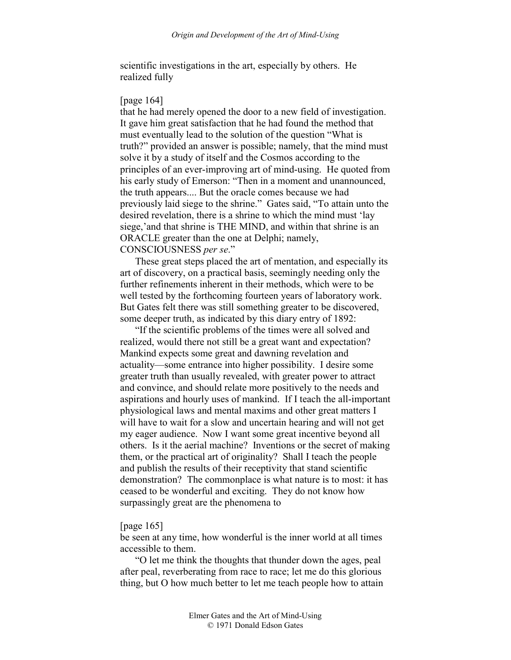scientific investigations in the art, especially by others. He realized fully

# [page 164]

that he had merely opened the door to a new field of investigation. It gave him great satisfaction that he had found the method that must eventually lead to the solution of the question "What is truth?" provided an answer is possible; namely, that the mind must solve it by a study of itself and the Cosmos according to the principles of an ever-improving art of mind-using. He quoted from his early study of Emerson: "Then in a moment and unannounced, the truth appears.... But the oracle comes because we had previously laid siege to the shrine." Gates said, "To attain unto the desired revelation, there is a shrine to which the mind must 'lay siege,'and that shrine is THE MIND, and within that shrine is an ORACLE greater than the one at Delphi; namely, CONSCIOUSNESS *per se*."

These great steps placed the art of mentation, and especially its art of discovery, on a practical basis, seemingly needing only the further refinements inherent in their methods, which were to be well tested by the forthcoming fourteen years of laboratory work. But Gates felt there was still something greater to be discovered, some deeper truth, as indicated by this diary entry of 1892:

"If the scientific problems of the times were all solved and realized, would there not still be a great want and expectation? Mankind expects some great and dawning revelation and actuality—some entrance into higher possibility. I desire some greater truth than usually revealed, with greater power to attract and convince, and should relate more positively to the needs and aspirations and hourly uses of mankind. If I teach the all-important physiological laws and mental maxims and other great matters I will have to wait for a slow and uncertain hearing and will not get my eager audience. Now I want some great incentive beyond all others. Is it the aerial machine? Inventions or the secret of making them, or the practical art of originality? Shall I teach the people and publish the results of their receptivity that stand scientific demonstration? The commonplace is what nature is to most: it has ceased to be wonderful and exciting. They do not know how surpassingly great are the phenomena to

#### [page 165]

be seen at any time, how wonderful is the inner world at all times accessible to them.

"O let me think the thoughts that thunder down the ages, peal after peal, reverberating from race to race; let me do this glorious thing, but O how much better to let me teach people how to attain